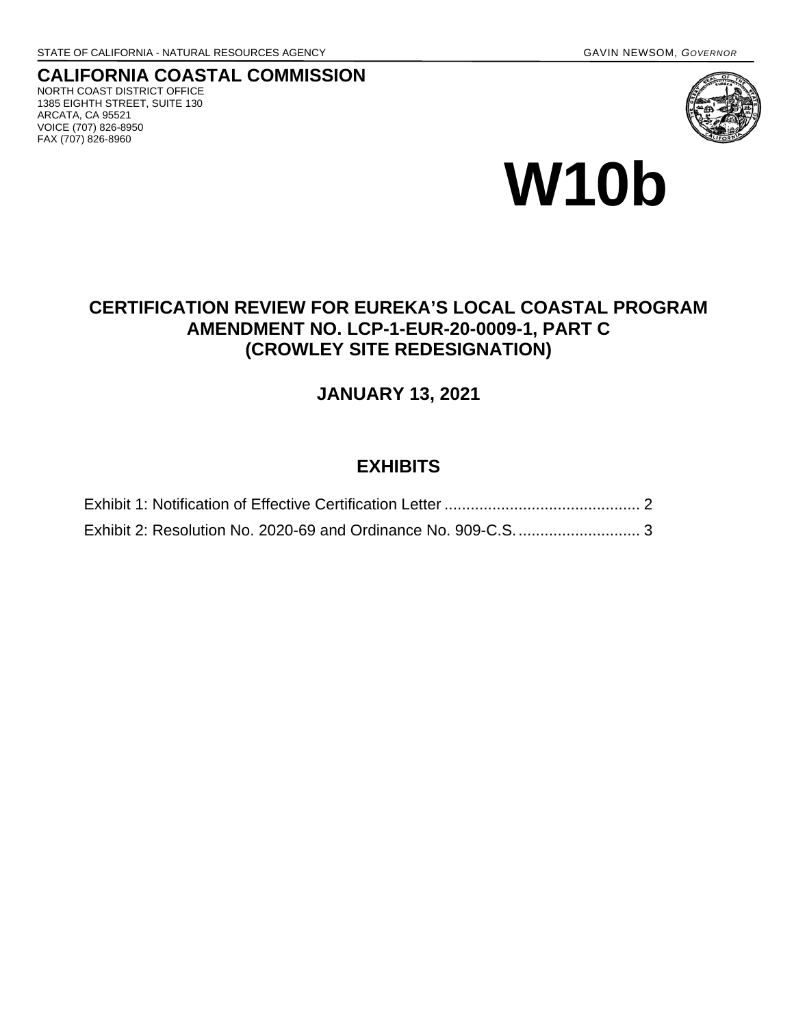VOICE (707) 826-8950 FAX (707) 826-8960

#### **CALIFORNIA COASTAL COMMISSION** NORTH COAST DISTRICT OFFICE 1385 EIGHTH STREET, SUITE 130 ARCATA, CA 95521





## **CERTIFICATION REVIEW FOR EUREKA'S LOCAL COASTAL PROGRAM AMENDMENT NO. LCP-1-EUR-20-0009-1, PART C (CROWLEY SITE REDESIGNATION)**

## **JANUARY 13, 2021**

## **EXHIBITS**

| Exhibit 2: Resolution No. 2020-69 and Ordinance No. 909-C.S 3 |  |
|---------------------------------------------------------------|--|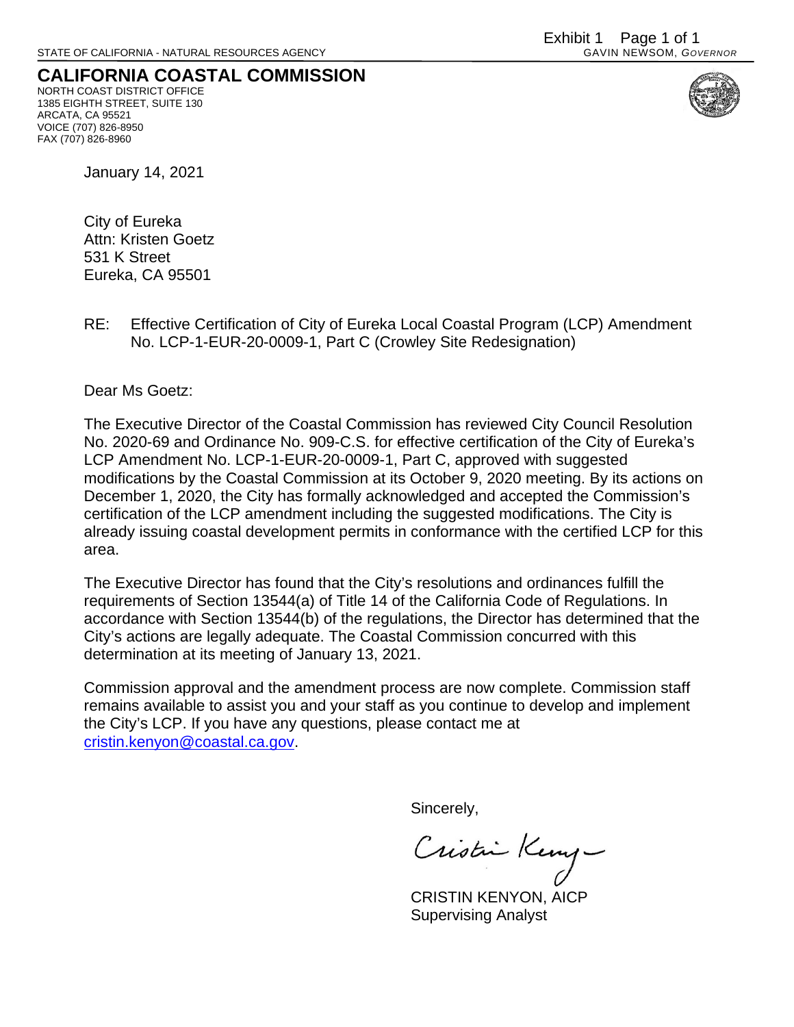### <span id="page-1-0"></span>**CALIFORNIA COASTAL COMMISSION** NORTH COAST DISTRICT OFFICE

1385 EIGHTH STREET, SUITE 130 ARCATA, CA 95521 VOICE (707) 826-8950 FAX (707) 826-8960



January 14, 2021

City of Eureka Attn: Kristen Goetz 531 K Street Eureka, CA 95501

RE: Effective Certification of City of Eureka Local Coastal Program (LCP) Amendment No. LCP-1-EUR-20-0009-1, Part C (Crowley Site Redesignation)

Dear Ms Goetz:

The Executive Director of the Coastal Commission has reviewed City Council Resolution No. 2020-69 and Ordinance No. 909-C.S. for effective certification of the City of Eureka's LCP Amendment No. LCP-1-EUR-20-0009-1, Part C, approved with suggested modifications by the Coastal Commission at its October 9, 2020 meeting. By its actions on December 1, 2020, the City has formally acknowledged and accepted the Commission's certification of the LCP amendment including the suggested modifications. The City is already issuing coastal development permits in conformance with the certified LCP for this area.

The Executive Director has found that the City's resolutions and ordinances fulfill the requirements of Section 13544(a) of Title 14 of the California Code of Regulations. In accordance with Section 13544(b) of the regulations, the Director has determined that the City's actions are legally adequate. The Coastal Commission concurred with this determination at its meeting of January 13, 2021.

Commission approval and the amendment process are now complete. Commission staff remains available to assist you and your staff as you continue to develop and implement the City's LCP. If you have any questions, please contact me at [cristin.kenyon@coastal.ca.gov.](mailto:cristin.kenyon@coastal.ca.gov)

Sincerely,

Cristin Keny

CRISTIN KENYON, AICP Supervising Analyst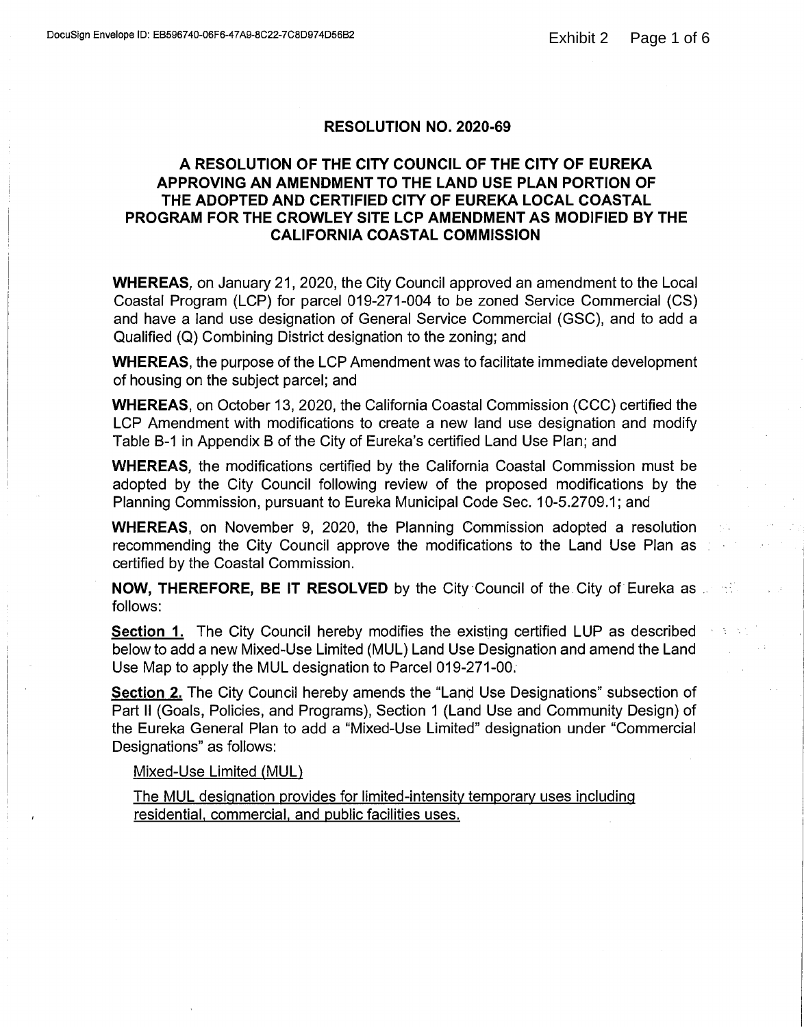#### **RESOLUTION NO. 2020-69**

### <span id="page-2-0"></span>A RESOLUTION OF THE CITY COUNCIL OF THE CITY OF EUREKA APPROVING AN AMENDMENT TO THE LAND USE PLAN PORTION OF THE ADOPTED AND CERTIFIED CITY OF EUREKA LOCAL COASTAL PROGRAM FOR THE CROWLEY SITE LCP AMENDMENT AS MODIFIED BY THE **CALIFORNIA COASTAL COMMISSION**

**WHEREAS.** on January 21, 2020, the City Council approved an amendment to the Local Coastal Program (LCP) for parcel 019-271-004 to be zoned Service Commercial (CS) and have a land use designation of General Service Commercial (GSC), and to add a Qualified (Q) Combining District designation to the zoning; and

**WHEREAS, the purpose of the LCP Amendment was to facilitate immediate development** of housing on the subject parcel; and

**WHEREAS, on October 13, 2020, the California Coastal Commission (CCC) certified the** LCP Amendment with modifications to create a new land use designation and modify Table B-1 in Appendix B of the City of Eureka's certified Land Use Plan; and

**WHEREAS**, the modifications certified by the California Coastal Commission must be adopted by the City Council following review of the proposed modifications by the Planning Commission, pursuant to Eureka Municipal Code Sec. 10-5.2709.1; and

**WHEREAS, on November 9, 2020, the Planning Commission adopted a resolution** recommending the City Council approve the modifications to the Land Use Plan as certified by the Coastal Commission.

**NOW, THEREFORE, BE IT RESOLVED** by the City Council of the City of Eureka as a state follows:

**Section 1.** The City Council hereby modifies the existing certified LUP as described below to add a new Mixed-Use Limited (MUL) Land Use Designation and amend the Land Use Map to apply the MUL designation to Parcel 019-271-00.

Section 2. The City Council hereby amends the "Land Use Designations" subsection of Part II (Goals, Policies, and Programs), Section 1 (Land Use and Community Design) of the Eureka General Plan to add a "Mixed-Use Limited" designation under "Commercial Designations" as follows:

#### Mixed-Use Limited (MUL)

The MUL designation provides for limited-intensity temporary uses including residential, commercial, and public facilities uses.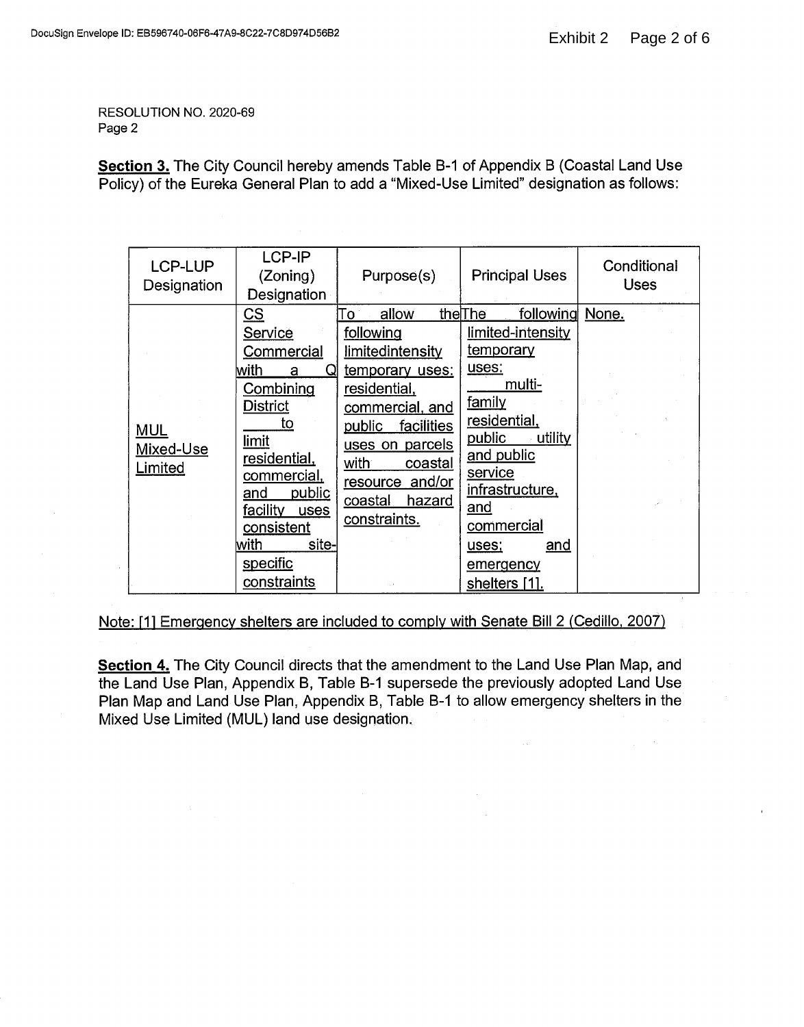RESOLUTION NO. 2020-69 Page 2

Section 3. The City Council hereby amends Table B-1 of Appendix B (Coastal Land Use Policy) of the Eureka General Plan to add a "Mixed-Use Limited" designation as follows:

| LCP-LUP<br>Designation             | LCP-IP<br>(Zoning)<br>Designation                                                                                                                                                                                                  | Purpose(s)                                                                                                                                                                                                               | <b>Principal Uses</b>                                                                                                                                                                                                                                | Conditional<br><b>Uses</b> |
|------------------------------------|------------------------------------------------------------------------------------------------------------------------------------------------------------------------------------------------------------------------------------|--------------------------------------------------------------------------------------------------------------------------------------------------------------------------------------------------------------------------|------------------------------------------------------------------------------------------------------------------------------------------------------------------------------------------------------------------------------------------------------|----------------------------|
| <b>MUL</b><br>Mixed-Use<br>Limited | <u>cs</u><br>Service<br>Commercial<br>with<br>Q<br>a<br>Combining<br><b>District</b><br>to<br>limit<br>residential,<br>commercial,<br>public<br>and<br>facility<br>uses<br>consistent<br>lwith<br>site-<br>specific<br>constraints | allow<br>Го<br>following<br>limitedintensity<br>temporary uses:<br>residential,<br>commercial, and<br>facilities<br>public<br>uses on parcels<br>with<br>coastal<br>resource and/or<br>hazard<br>coastal<br>constraints. | following<br>theThe<br>limited-intensity<br><u>temporary</u><br>uses:<br>multi-<br>family<br>residential,<br>public<br>utility<br>and public<br>service<br>infrastructure,<br>and<br>commercial<br><u>and</u><br>uses;<br>emergency<br>shelters [1]. | None.                      |

Note: [1] Emergency shelters are included to comply with Senate Bill 2 (Cedillo, 2007)

Section 4. The City Council directs that the amendment to the Land Use Plan Map, and the Land Use Plan, Appendix B, Table B-1 supersede the previously adopted Land Use Plan Map and Land Use Plan, Appendix B, Table B-1 to allow emergency shelters in the Mixed Use Limited (MUL) land use designation.

 $\bar{\mathcal{A}}$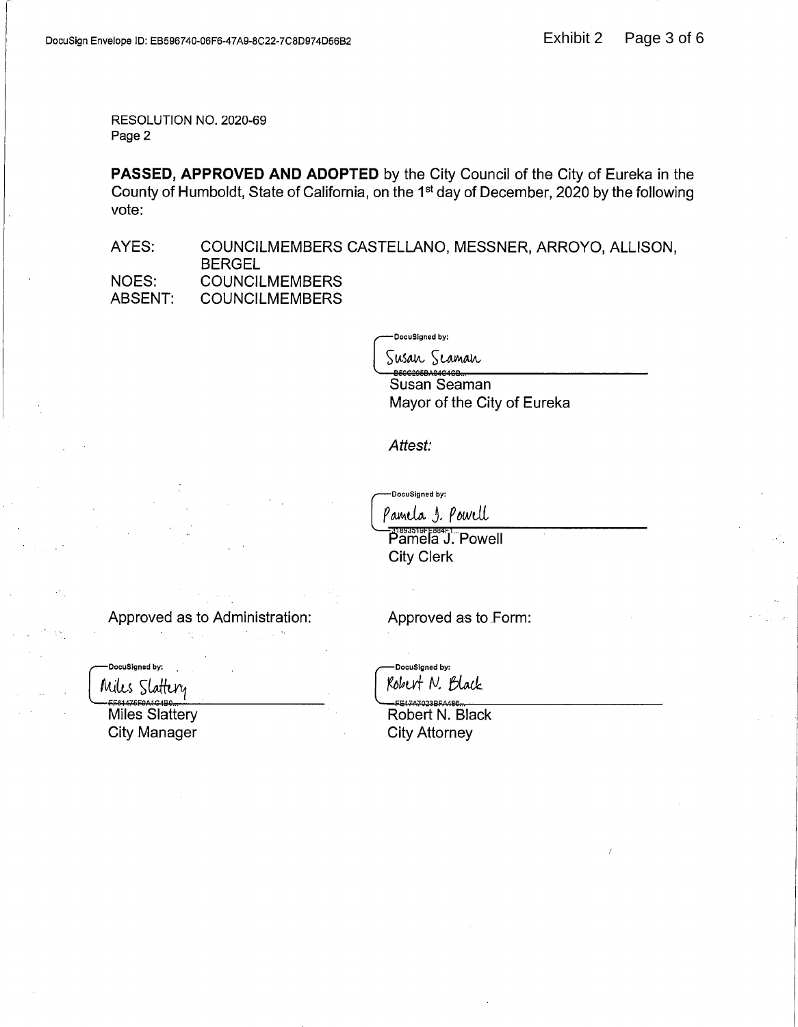RESOLUTION NO. 2020-69 Page 2

PASSED, APPROVED AND ADOPTED by the City Council of the City of Eureka in the County of Humboldt, State of California, on the 1<sup>st</sup> day of December, 2020 by the following vote:

AYES: COUNCILMEMBERS CASTELLANO, MESSNER, ARROYO, ALLISON, **BERGEL** NOES: **COUNCILMEMBERS** ABSENT: **COUNCILMEMBERS** 

DocuSigned by:

Susan Seaman Susan Seaman

Mayor of the City of Eureka

Attest:

DocuSigned by:

Pamela S. Powell

**Pamela J. Powell City Clerk** 

Approved as to Administration:

and the stages

-DocuSigned by:

Miles Slattery

Miles Slattery **City Manager** 

Approved as to Form:

-DocuSigned by: Robert N. Black

E17A7023BFA486 Robert N. Black **City Attorney**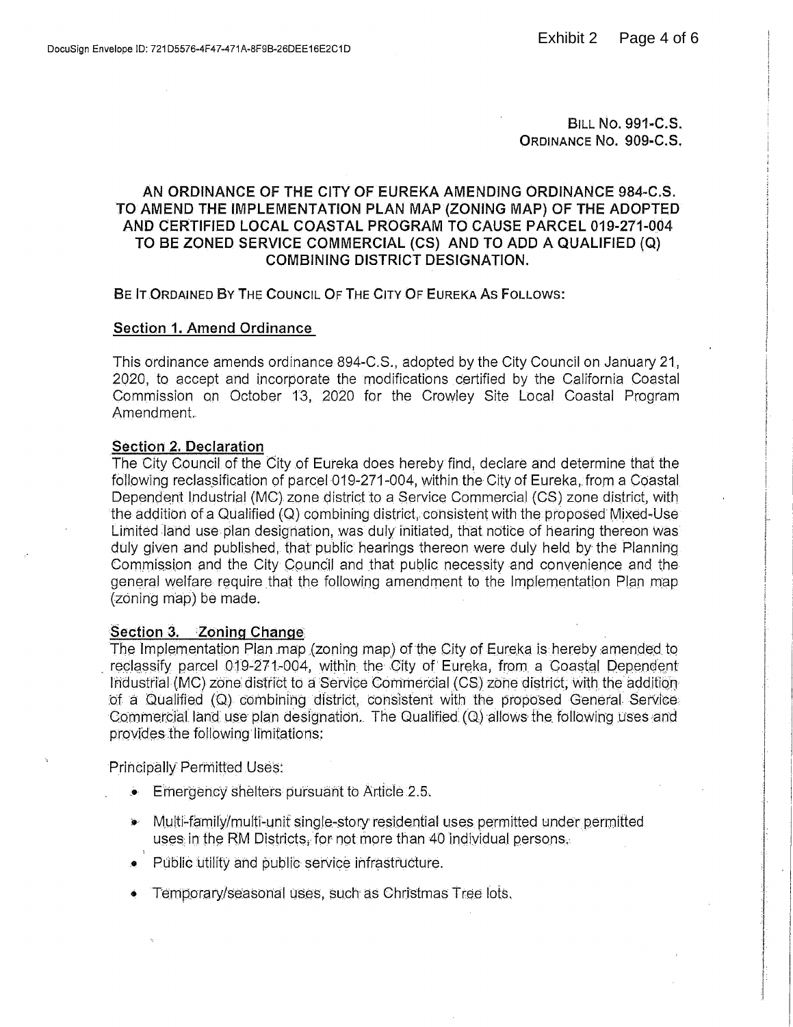**BILL NO. 991-C.S.** ORDINANCE No. 909-C.S.

### AN ORDINANCE OF THE CITY OF EUREKA AMENDING ORDINANCE 984-C.S. TO AMEND THE IMPLEMENTATION PLAN MAP (ZONING MAP) OF THE ADOPTED AND CERTIFIED LOCAL COASTAL PROGRAM TO CAUSE PARCEL 019-271-004 TO BE ZONED SERVICE COMMERCIAL (CS) AND TO ADD A QUALIFIED (Q) **COMBINING DISTRICT DESIGNATION.**

BE IT ORDAINED BY THE COUNCIL OF THE CITY OF EUREKA AS FOLLOWS:

#### **Section 1. Amend Ordinance**

This ordinance amends ordinance 894-C.S., adopted by the City Council on January 21, 2020, to accept and incorporate the modifications certified by the California Coastal Commission on October 13, 2020 for the Crowley Site Local Coastal Program Amendment.

#### Section 2. Declaration

The City Council of the City of Eureka does hereby find, declare and determine that the following reclassification of parcel 019-271-004, within the City of Eureka, from a Coastal Dependent Industrial (MC) zone district to a Service Commercial (CS) zone district, with the addition of a Qualified (Q) combining district, consistent with the proposed Mixed-Use Limited land use plan designation, was duly initiated, that notice of hearing thereon was duly given and published, that public hearings thereon were duly held by the Planning Commission and the City Council and that public necessity and convenience and the general welfare require that the following amendment to the Implementation Plan map (zoning map) be made.

#### Section 3. Zoning Change

The Implementation Plan map (zoning map) of the City of Eureka is hereby amended to reclassify parcel 019-271-004, within the City of Eureka, from a Coastal Dependent Industrial (MC) zone district to a Service Commercial (CS) zone district, with the addition of a Qualified (Q) combining district, consistent with the proposed General Service. Commercial land use plan designation. The Qualified (Q) allows the following uses and provides the following limitations:

Principally Permitted Uses:

- $\bullet$  Emergency shelters pursuant to Article 2.5.
- Multi-family/multi-unit single-story residential uses permitted under permitted uses in the RM Districts, for not more than 40 individual persons.
- Public utility and public service infrastructure.
- Temporary/seasonal uses, such as Christmas Tree lots.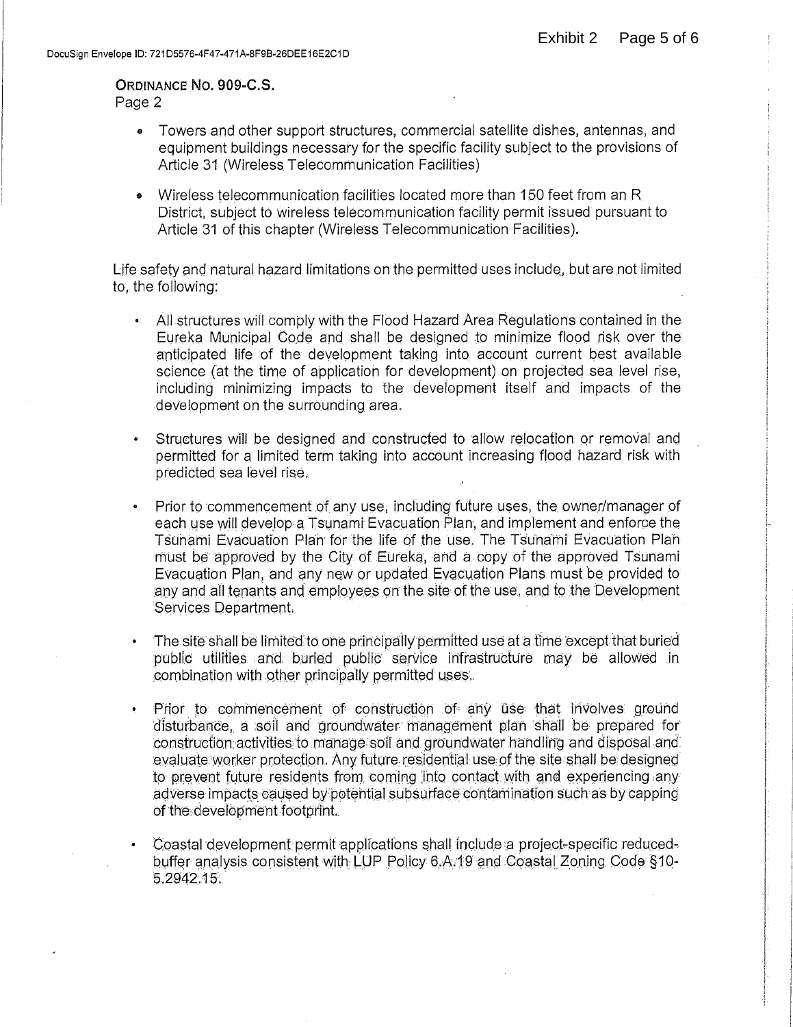# ORDINANCE NO. 909-C.S.

Page 2

- Towers and other support structures, commercial satellite dishes, antennas, and equipment buildings necessary for the specific facility subject to the provisions of Article 31 (Wireless Telecommunication Facilities)
- Wireless telecommunication facilities located more than 150 feet from an R District, subject to wireless telecommunication facility permit issued pursuant to Article 31 of this chapter (Wireless Telecommunication Facilities).

Life safety and natural hazard limitations on the permitted uses include, but are not limited to, the following:

- All structures will comply with the Flood Hazard Area Regulations contained in the Eureka Municipal Code and shall be designed to minimize flood risk over the anticipated life of the development taking into account current best available science (at the time of application for development) on projected sea level rise, including minimizing impacts to the development itself and impacts of the development on the surrounding area.
- Structures will be designed and constructed to allow relocation or removal and permitted for a limited term taking into account increasing flood hazard risk with predicted sea level rise.
- Prior to commencement of any use, including future uses, the owner/manager of each use will develop a Tsunami Evacuation Plan, and implement and enforce the Tsunami Evacuation Plan for the life of the use. The Tsunami Evacuation Plan must be approved by the City of Eureka, and a copy of the approved Tsunami Evacuation Plan, and any new or updated Evacuation Plans must be provided to any and all tenants and employees on the site of the use, and to the Development Services Department.
- The site shall be limited to one principally permitted use at a time except that buried public utilities and buried public service infrastructure may be allowed in combination with other principally permitted uses.
- Prior to commencement of construction of any use that involves ground  $\bullet$ disturbance, a soil and groundwater management plan shall be prepared for construction activities to manage soil and groundwater handling and disposal and evaluate worker protection. Any future residential use of the site shall be designed to prevent future residents from coming into contact with and experiencing any adverse impacts caused by potential subsurface contamination such as by capping of the development footprint.
- Coastal development permit applications shall include a project-specific reducedbuffer analysis consistent with LUP Policy 6.A.19 and Coastal Zoning Code §10-5.2942.15.